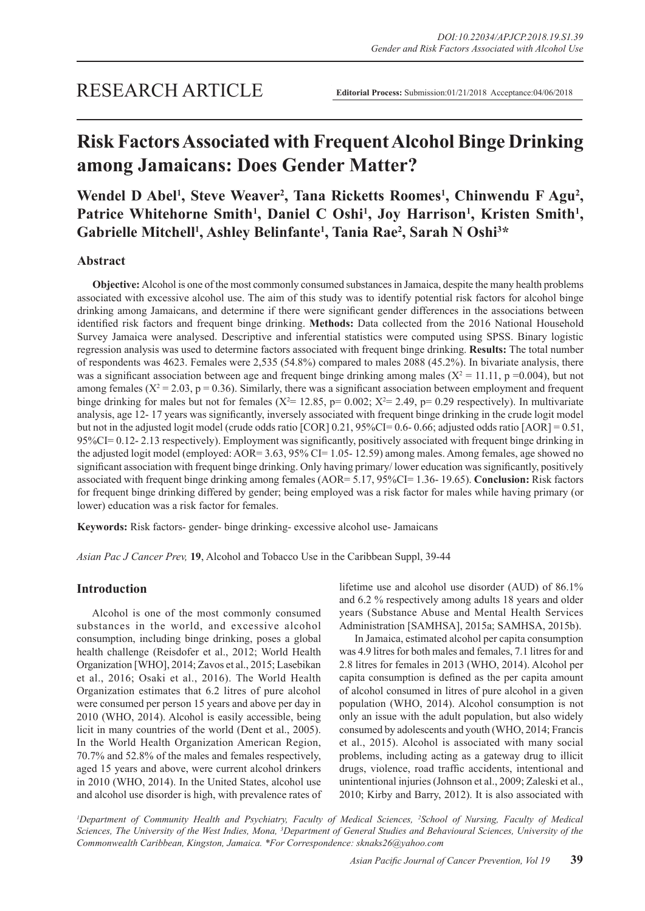# **Risk Factors Associated with Frequent Alcohol Binge Drinking among Jamaicans: Does Gender Matter?**

Wendel D Abel<sup>1</sup>, Steve Weaver<sup>2</sup>, Tana Ricketts Roomes<sup>1</sup>, Chinwendu F Agu<sup>2</sup>, Patrice Whitehorne Smith<sup>1</sup>, Daniel C Oshi<sup>1</sup>, Joy Harrison<sup>1</sup>, Kristen Smith<sup>1</sup>, Gabrielle Mitchell<sup>1</sup>, Ashley Belinfante<sup>1</sup>, Tania Rae<sup>2</sup>, Sarah N Oshi<sup>3\*</sup>

# **Abstract**

**Objective:** Alcohol is one of the most commonly consumed substances in Jamaica, despite the many health problems associated with excessive alcohol use. The aim of this study was to identify potential risk factors for alcohol binge drinking among Jamaicans, and determine if there were significant gender differences in the associations between identified risk factors and frequent binge drinking. **Methods:** Data collected from the 2016 National Household Survey Jamaica were analysed. Descriptive and inferential statistics were computed using SPSS. Binary logistic regression analysis was used to determine factors associated with frequent binge drinking. **Results:** The total number of respondents was 4623. Females were 2,535 (54.8%) compared to males 2088 (45.2%). In bivariate analysis, there was a significant association between age and frequent binge drinking among males ( $X^2 = 11.11$ , p =0.004), but not among females ( $X^2 = 2.03$ ,  $p = 0.36$ ). Similarly, there was a significant association between employment and frequent binge drinking for males but not for females ( $X^2 = 12.85$ , p= 0.002;  $X^2 = 2.49$ , p= 0.29 respectively). In multivariate analysis, age 12- 17 years was significantly, inversely associated with frequent binge drinking in the crude logit model but not in the adjusted logit model (crude odds ratio  $[COR] 0.21, 95\% CI = 0.6 - 0.66$ ; adjusted odds ratio  $[AOR] = 0.51$ , 95%CI= 0.12- 2.13 respectively). Employment was significantly, positively associated with frequent binge drinking in the adjusted logit model (employed: AOR= 3.63, 95% CI= 1.05- 12.59) among males. Among females, age showed no significant association with frequent binge drinking. Only having primary/ lower education was significantly, positively associated with frequent binge drinking among females (AOR= 5.17, 95%CI= 1.36- 19.65). **Conclusion:** Risk factors for frequent binge drinking differed by gender; being employed was a risk factor for males while having primary (or lower) education was a risk factor for females.

**Keywords:** Risk factors- gender- binge drinking- excessive alcohol use- Jamaicans

*Asian Pac J Cancer Prev,* **19**, Alcohol and Tobacco Use in the Caribbean Suppl, 39-44

## **Introduction**

Alcohol is one of the most commonly consumed substances in the world, and excessive alcohol consumption, including binge drinking, poses a global health challenge (Reisdofer et al., 2012; World Health Organization [WHO], 2014; Zavos et al., 2015; Lasebikan et al., 2016; Osaki et al., 2016). The World Health Organization estimates that 6.2 litres of pure alcohol were consumed per person 15 years and above per day in 2010 (WHO, 2014). Alcohol is easily accessible, being licit in many countries of the world (Dent et al., 2005). In the World Health Organization American Region, 70.7% and 52.8% of the males and females respectively, aged 15 years and above, were current alcohol drinkers in 2010 (WHO, 2014). In the United States, alcohol use and alcohol use disorder is high, with prevalence rates of lifetime use and alcohol use disorder (AUD) of 86.1% and 6.2 % respectively among adults 18 years and older years (Substance Abuse and Mental Health Services Administration [SAMHSA], 2015a; SAMHSA, 2015b).

In Jamaica, estimated alcohol per capita consumption was 4.9 litres for both males and females, 7.1 litres for and 2.8 litres for females in 2013 (WHO, 2014). Alcohol per capita consumption is defined as the per capita amount of alcohol consumed in litres of pure alcohol in a given population (WHO, 2014). Alcohol consumption is not only an issue with the adult population, but also widely consumed by adolescents and youth (WHO, 2014; Francis et al., 2015). Alcohol is associated with many social problems, including acting as a gateway drug to illicit drugs, violence, road traffic accidents, intentional and unintentional injuries (Johnson et al., 2009; Zaleski et al., 2010; Kirby and Barry, 2012). It is also associated with

*1 Department of Community Health and Psychiatry, Faculty of Medical Sciences, 2 School of Nursing, Faculty of Medical*  Sciences, The University of the West Indies, Mona, <sup>3</sup>Department of General Studies and Behavioural Sciences, University of the *Commonwealth Caribbean, Kingston, Jamaica. \*For Correspondence: sknaks26@yahoo.com*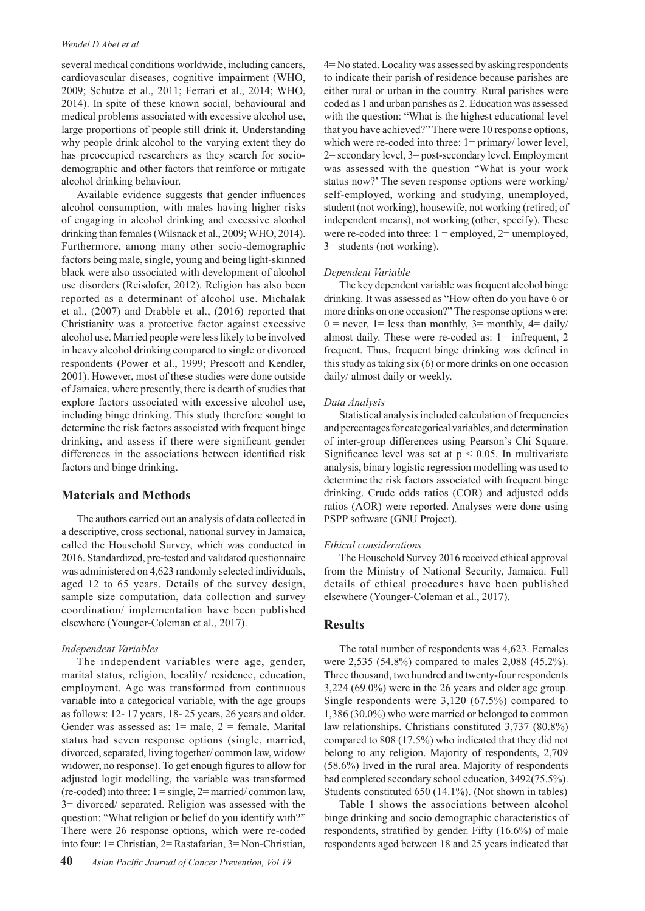#### *Wendel D Abel et al*

several medical conditions worldwide, including cancers, cardiovascular diseases, cognitive impairment (WHO, 2009; Schutze et al., 2011; Ferrari et al., 2014; WHO, 2014). In spite of these known social, behavioural and medical problems associated with excessive alcohol use, large proportions of people still drink it. Understanding why people drink alcohol to the varying extent they do has preoccupied researchers as they search for sociodemographic and other factors that reinforce or mitigate alcohol drinking behaviour.

Available evidence suggests that gender influences alcohol consumption, with males having higher risks of engaging in alcohol drinking and excessive alcohol drinking than females (Wilsnack et al., 2009; WHO, 2014). Furthermore, among many other socio-demographic factors being male, single, young and being light-skinned black were also associated with development of alcohol use disorders (Reisdofer, 2012). Religion has also been reported as a determinant of alcohol use. Michalak et al., (2007) and Drabble et al., (2016) reported that Christianity was a protective factor against excessive alcohol use. Married people were less likely to be involved in heavy alcohol drinking compared to single or divorced respondents (Power et al., 1999; Prescott and Kendler, 2001). However, most of these studies were done outside of Jamaica, where presently, there is dearth of studies that explore factors associated with excessive alcohol use, including binge drinking. This study therefore sought to determine the risk factors associated with frequent binge drinking, and assess if there were significant gender differences in the associations between identified risk factors and binge drinking.

# **Materials and Methods**

The authors carried out an analysis of data collected in a descriptive, cross sectional, national survey in Jamaica, called the Household Survey, which was conducted in 2016. Standardized, pre-tested and validated questionnaire was administered on 4,623 randomly selected individuals, aged 12 to 65 years. Details of the survey design, sample size computation, data collection and survey coordination/ implementation have been published elsewhere (Younger-Coleman et al., 2017).

#### *Independent Variables*

The independent variables were age, gender, marital status, religion, locality/ residence, education, employment. Age was transformed from continuous variable into a categorical variable, with the age groups as follows: 12- 17 years, 18- 25 years, 26 years and older. Gender was assessed as:  $1 =$  male,  $2 =$  female. Marital status had seven response options (single, married, divorced, separated, living together/ common law, widow/ widower, no response). To get enough figures to allow for adjusted logit modelling, the variable was transformed (re-coded) into three:  $1 = \text{single}, 2 = \text{married}/\text{common law}$ , 3= divorced/ separated. Religion was assessed with the question: "What religion or belief do you identify with?" There were 26 response options, which were re-coded into four: 1= Christian, 2= Rastafarian, 3= Non-Christian,

4= No stated. Locality was assessed by asking respondents to indicate their parish of residence because parishes are either rural or urban in the country. Rural parishes were coded as 1 and urban parishes as 2. Education was assessed with the question: "What is the highest educational level that you have achieved?" There were 10 response options, which were re-coded into three:  $1 = \text{primary}/\text{ lower level}$ , 2= secondary level, 3= post-secondary level. Employment was assessed with the question "What is your work status now?' The seven response options were working/ self-employed, working and studying, unemployed, student (not working), housewife, not working (retired; of independent means), not working (other, specify). These were re-coded into three:  $1 =$  employed,  $2 =$  unemployed, 3= students (not working).

### *Dependent Variable*

The key dependent variable was frequent alcohol binge drinking. It was assessed as "How often do you have 6 or more drinks on one occasion?" The response options were:  $0 =$  never, 1 = less than monthly, 3 = monthly, 4 = daily/ almost daily. These were re-coded as: 1= infrequent, 2 frequent. Thus, frequent binge drinking was defined in this study as taking six (6) or more drinks on one occasion daily/ almost daily or weekly.

#### *Data Analysis*

Statistical analysis included calculation of frequencies and percentages for categorical variables, and determination of inter-group differences using Pearson's Chi Square. Significance level was set at  $p < 0.05$ . In multivariate analysis, binary logistic regression modelling was used to determine the risk factors associated with frequent binge drinking. Crude odds ratios (COR) and adjusted odds ratios (AOR) were reported. Analyses were done using PSPP software (GNU Project).

#### *Ethical considerations*

The Household Survey 2016 received ethical approval from the Ministry of National Security, Jamaica. Full details of ethical procedures have been published elsewhere (Younger-Coleman et al., 2017).

#### **Results**

The total number of respondents was 4,623. Females were 2,535 (54.8%) compared to males 2,088 (45.2%). Three thousand, two hundred and twenty-four respondents 3,224 (69.0%) were in the 26 years and older age group. Single respondents were 3,120 (67.5%) compared to 1,386 (30.0%) who were married or belonged to common law relationships. Christians constituted 3,737 (80.8%) compared to 808 (17.5%) who indicated that they did not belong to any religion. Majority of respondents, 2,709 (58.6%) lived in the rural area. Majority of respondents had completed secondary school education, 3492(75.5%). Students constituted 650 (14.1%). (Not shown in tables)

Table 1 shows the associations between alcohol binge drinking and socio demographic characteristics of respondents, stratified by gender. Fifty (16.6%) of male respondents aged between 18 and 25 years indicated that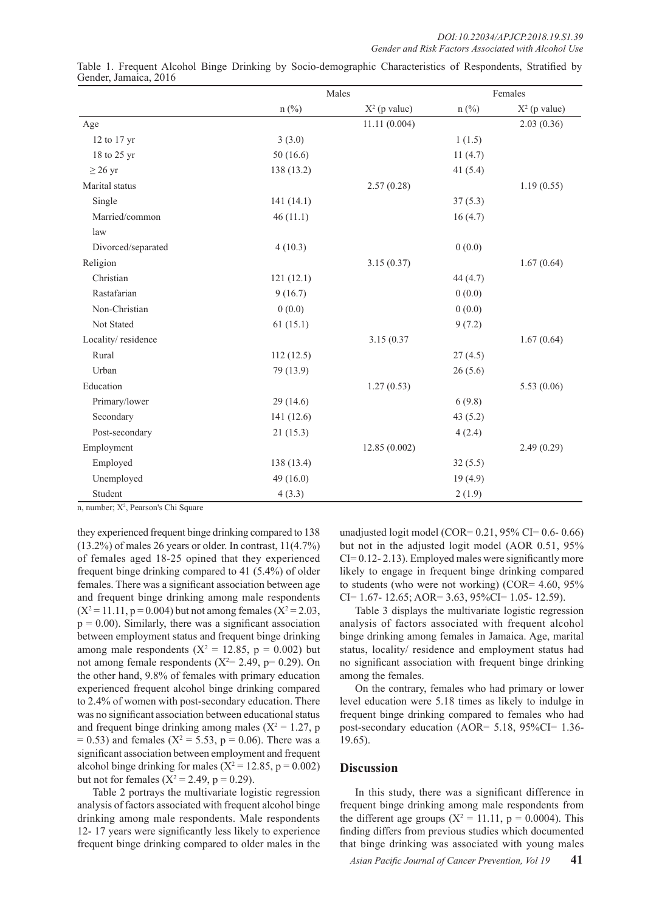|                    | Males      |                 | Females        |                 |  |
|--------------------|------------|-----------------|----------------|-----------------|--|
|                    | $n$ (%)    | $X^2$ (p value) | $n(^{0}/_{0})$ | $X^2$ (p value) |  |
| Age                |            | 11.11(0.004)    |                | 2.03(0.36)      |  |
| 12 to 17 yr        | 3(3.0)     |                 | 1(1.5)         |                 |  |
| 18 to 25 yr        | 50(16.6)   |                 | 11(4.7)        |                 |  |
| $\geq$ 26 yr       | 138 (13.2) |                 | 41 $(5.4)$     |                 |  |
| Marital status     |            | 2.57(0.28)      |                | 1.19(0.55)      |  |
| Single             | 141(14.1)  |                 | 37(5.3)        |                 |  |
| Married/common     | 46(11.1)   |                 | 16(4.7)        |                 |  |
| law                |            |                 |                |                 |  |
| Divorced/separated | 4(10.3)    |                 | 0(0.0)         |                 |  |
| Religion           |            | 3.15(0.37)      |                | 1.67(0.64)      |  |
| Christian          | 121(12.1)  |                 | 44 (4.7)       |                 |  |
| Rastafarian        | 9(16.7)    |                 | 0(0.0)         |                 |  |
| Non-Christian      | 0(0.0)     |                 | 0(0.0)         |                 |  |
| Not Stated         | 61(15.1)   |                 | 9(7.2)         |                 |  |
| Locality/residence |            | 3.15 (0.37      |                | 1.67(0.64)      |  |
| Rural              | 112(12.5)  |                 | 27(4.5)        |                 |  |
| Urban              | 79 (13.9)  |                 | 26(5.6)        |                 |  |
| Education          |            | 1.27(0.53)      |                | 5.53(0.06)      |  |
| Primary/lower      | 29(14.6)   |                 | 6(9.8)         |                 |  |
| Secondary          | 141 (12.6) |                 | 43(5.2)        |                 |  |
| Post-secondary     | 21(15.3)   |                 | 4(2.4)         |                 |  |
| Employment         |            | 12.85(0.002)    |                | 2.49(0.29)      |  |
| Employed           | 138 (13.4) |                 | 32(5.5)        |                 |  |
| Unemployed         | 49(16.0)   |                 | 19(4.9)        |                 |  |
| Student            | 4(3.3)     |                 | 2(1.9)         |                 |  |

Table 1. Frequent Alcohol Binge Drinking by Socio-demographic Characteristics of Respondents, Stratified by Gender, Jamaica, 2016

n, number; X<sup>2</sup>, Pearson's Chi Square

they experienced frequent binge drinking compared to 138 (13.2%) of males 26 years or older. In contrast, 11(4.7%) of females aged 18-25 opined that they experienced frequent binge drinking compared to 41 (5.4%) of older females. There was a significant association between age and frequent binge drinking among male respondents  $(X^2 = 11.11, p = 0.004)$  but not among females  $(X^2 = 2.03,$  $p = 0.00$ ). Similarly, there was a significant association between employment status and frequent binge drinking among male respondents ( $X^2 = 12.85$ ,  $p = 0.002$ ) but not among female respondents  $(X^2 = 2.49, p = 0.29)$ . On the other hand, 9.8% of females with primary education experienced frequent alcohol binge drinking compared to 2.4% of women with post-secondary education. There was no significant association between educational status and frequent binge drinking among males ( $X^2 = 1.27$ , p  $= 0.53$ ) and females ( $X^2 = 5.53$ , p = 0.06). There was a significant association between employment and frequent alcohol binge drinking for males ( $X^2 = 12.85$ , p = 0.002) but not for females ( $X^2 = 2.49$ ,  $p = 0.29$ ).

Table 2 portrays the multivariate logistic regression analysis of factors associated with frequent alcohol binge drinking among male respondents. Male respondents 12- 17 years were significantly less likely to experience frequent binge drinking compared to older males in the

unadjusted logit model (COR=  $0.21$ ,  $95\%$  CI=  $0.6$ -  $0.66$ ) but not in the adjusted logit model (AOR 0.51, 95% CI= 0.12- 2.13). Employed males were significantly more likely to engage in frequent binge drinking compared to students (who were not working) (COR= 4.60, 95%  $CI = 1.67 - 12.65$ ; AOR= 3.63, 95%CI= 1.05- 12.59).

Table 3 displays the multivariate logistic regression analysis of factors associated with frequent alcohol binge drinking among females in Jamaica. Age, marital status, locality/ residence and employment status had no significant association with frequent binge drinking among the females.

On the contrary, females who had primary or lower level education were 5.18 times as likely to indulge in frequent binge drinking compared to females who had post-secondary education (AOR= 5.18, 95%CI= 1.36- 19.65).

# **Discussion**

In this study, there was a significant difference in frequent binge drinking among male respondents from the different age groups ( $X^2 = 11.11$ ,  $p = 0.0004$ ). This finding differs from previous studies which documented that binge drinking was associated with young males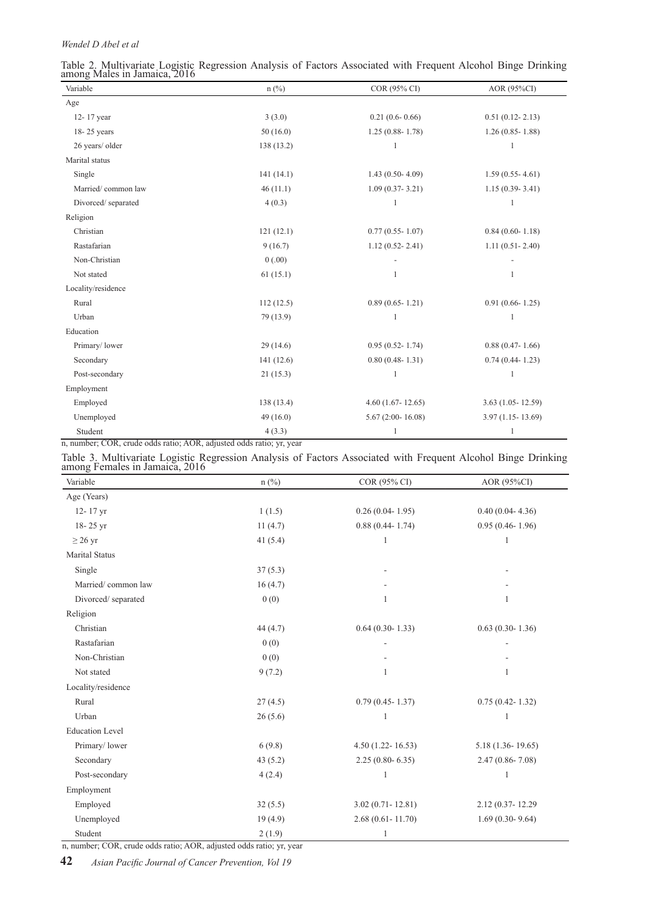# *Wendel D Abel et al*

| Table 2. Multivariate Logistic Regression Analysis of Factors Associated with Frequent Alcohol Binge Drinking<br>among Males in Jamaica, 2016 |  |  |  |  |  |
|-----------------------------------------------------------------------------------------------------------------------------------------------|--|--|--|--|--|
|                                                                                                                                               |  |  |  |  |  |

| Variable           | $n$ (%)    | COR (95% CI)         | AOR (95%CI)           |  |  |
|--------------------|------------|----------------------|-----------------------|--|--|
| Age                |            |                      |                       |  |  |
| 12-17 year         | 3(3.0)     | $0.21(0.6 - 0.66)$   | $0.51(0.12 - 2.13)$   |  |  |
| 18-25 years        | 50(16.0)   | $1.25(0.88 - 1.78)$  | $1.26(0.85 - 1.88)$   |  |  |
| 26 years/ older    | 138 (13.2) |                      | 1                     |  |  |
| Marital status     |            |                      |                       |  |  |
| Single             | 141(14.1)  | $1.43(0.50-4.09)$    | $1.59(0.55 - 4.61)$   |  |  |
| Married/common law | 46(11.1)   | $1.09(0.37 - 3.21)$  | $1.15(0.39 - 3.41)$   |  |  |
| Divorced/separated | 4(0.3)     | 1                    | 1                     |  |  |
| Religion           |            |                      |                       |  |  |
| Christian          | 121(12.1)  | $0.77(0.55 - 1.07)$  | $0.84(0.60 - 1.18)$   |  |  |
| Rastafarian        | 9(16.7)    | $1.12(0.52 - 2.41)$  | $1.11(0.51 - 2.40)$   |  |  |
| Non-Christian      | 0(.00)     |                      |                       |  |  |
| Not stated         | 61(15.1)   | 1                    | 1                     |  |  |
| Locality/residence |            |                      |                       |  |  |
| Rural              | 112(12.5)  | $0.89(0.65 - 1.21)$  | $0.91(0.66 - 1.25)$   |  |  |
| Urban              | 79 (13.9)  |                      | 1                     |  |  |
| Education          |            |                      |                       |  |  |
| Primary/lower      | 29(14.6)   | $0.95(0.52 - 1.74)$  | $0.88(0.47 - 1.66)$   |  |  |
| Secondary          | 141(12.6)  | $0.80(0.48 - 1.31)$  | $0.74(0.44 - 1.23)$   |  |  |
| Post-secondary     | 21(15.3)   | 1                    | $\mathbf{1}$          |  |  |
| Employment         |            |                      |                       |  |  |
| Employed           | 138 (13.4) | $4.60(1.67 - 12.65)$ | $3.63$ (1.05 - 12.59) |  |  |
| Unemployed         | 49(16.0)   | $5.67(2:00 - 16.08)$ | $3.97(1.15 - 13.69)$  |  |  |
| Student            | 4(3.3)     | $\mathbf{1}$         | $\mathbf{1}$          |  |  |

n, number; COR, crude odds ratio; AOR, adjusted odds ratio; yr, year

| Table 3. Multivariate Logistic Regression Analysis of Factors Associated with Frequent Alcohol Binge Drinking<br>among Females in Jamaica, 2016 |  |  |
|-------------------------------------------------------------------------------------------------------------------------------------------------|--|--|
|                                                                                                                                                 |  |  |
|                                                                                                                                                 |  |  |

| Variable               | $n\left(\frac{0}{0}\right)$ | COR (95% CI)         | AOR (95%CI)          |
|------------------------|-----------------------------|----------------------|----------------------|
| Age (Years)            |                             |                      |                      |
| 12-17 yr               | 1(1.5)                      | $0.26(0.04 - 1.95)$  | $0.40(0.04 - 4.36)$  |
| 18-25 yr               | 11(4.7)                     | $0.88(0.44 - 1.74)$  | $0.95(0.46 - 1.96)$  |
| $\geq$ 26 yr           | 41 $(5.4)$                  | 1                    |                      |
| <b>Marital Status</b>  |                             |                      |                      |
| Single                 | 37(5.3)                     |                      |                      |
| Married/common law     | 16(4.7)                     |                      |                      |
| Divorced/separated     | 0(0)                        | 1                    | 1                    |
| Religion               |                             |                      |                      |
| Christian              | 44(4.7)                     | $0.64(0.30 - 1.33)$  | $0.63(0.30 - 1.36)$  |
| Rastafarian            | 0(0)                        |                      |                      |
| Non-Christian          | 0(0)                        |                      |                      |
| Not stated             | 9(7.2)                      | 1                    | 1                    |
| Locality/residence     |                             |                      |                      |
| Rural                  | 27(4.5)                     | $0.79(0.45 - 1.37)$  | $0.75(0.42 - 1.32)$  |
| Urban                  | 26(5.6)                     | 1                    | 1                    |
| <b>Education Level</b> |                             |                      |                      |
| Primary/lower          | 6(9.8)                      | $4.50(1.22 - 16.53)$ | $5.18(1.36 - 19.65)$ |
| Secondary              | 43(5.2)                     | $2.25(0.80 - 6.35)$  | $2.47(0.86 - 7.08)$  |
| Post-secondary         | 4(2.4)                      | 1                    | 1                    |
| Employment             |                             |                      |                      |
| Employed               | 32(5.5)                     | $3.02(0.71 - 12.81)$ | 2.12 (0.37-12.29)    |
| Unemployed             | 19(4.9)                     | $2.68(0.61 - 11.70)$ | $1.69(0.30-9.64)$    |
| Student                | 2(1.9)                      | 1                    |                      |

n, number; COR, crude odds ratio; AOR, adjusted odds ratio; yr, year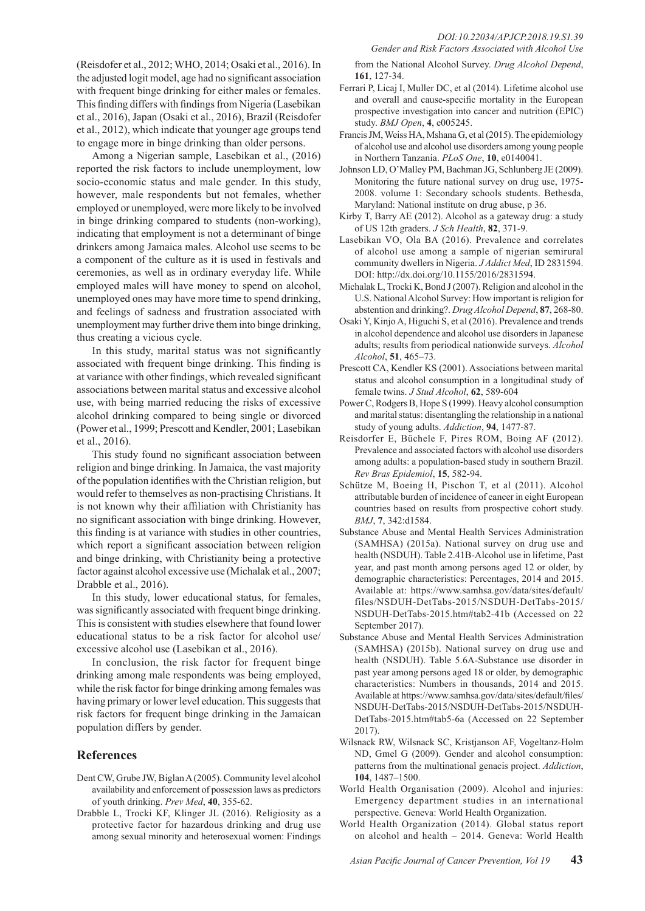(Reisdofer et al., 2012; WHO, 2014; Osaki et al., 2016). In the adjusted logit model, age had no significant association with frequent binge drinking for either males or females. This finding differs with findings from Nigeria (Lasebikan et al., 2016), Japan (Osaki et al., 2016), Brazil (Reisdofer et al., 2012), which indicate that younger age groups tend to engage more in binge drinking than older persons.

Among a Nigerian sample, Lasebikan et al., (2016) reported the risk factors to include unemployment, low socio-economic status and male gender. In this study, however, male respondents but not females, whether employed or unemployed, were more likely to be involved in binge drinking compared to students (non-working), indicating that employment is not a determinant of binge drinkers among Jamaica males. Alcohol use seems to be a component of the culture as it is used in festivals and ceremonies, as well as in ordinary everyday life. While employed males will have money to spend on alcohol, unemployed ones may have more time to spend drinking, and feelings of sadness and frustration associated with unemployment may further drive them into binge drinking, thus creating a vicious cycle.

In this study, marital status was not significantly associated with frequent binge drinking. This finding is at variance with other findings, which revealed significant associations between marital status and excessive alcohol use, with being married reducing the risks of excessive alcohol drinking compared to being single or divorced (Power et al., 1999; Prescott and Kendler, 2001; Lasebikan et al., 2016).

This study found no significant association between religion and binge drinking. In Jamaica, the vast majority of the population identifies with the Christian religion, but would refer to themselves as non-practising Christians. It is not known why their affiliation with Christianity has no significant association with binge drinking. However, this finding is at variance with studies in other countries, which report a significant association between religion and binge drinking, with Christianity being a protective factor against alcohol excessive use (Michalak et al., 2007; Drabble et al., 2016).

In this study, lower educational status, for females, was significantly associated with frequent binge drinking. This is consistent with studies elsewhere that found lower educational status to be a risk factor for alcohol use/ excessive alcohol use (Lasebikan et al., 2016).

In conclusion, the risk factor for frequent binge drinking among male respondents was being employed, while the risk factor for binge drinking among females was having primary or lower level education. This suggests that risk factors for frequent binge drinking in the Jamaican population differs by gender.

# **References**

- Dent CW, Grube JW, Biglan A (2005). Community level alcohol availability and enforcement of possession laws as predictors of youth drinking. *Prev Med*, **40**, 355-62.
- Drabble L, Trocki KF, Klinger JL (2016). Religiosity as a protective factor for hazardous drinking and drug use among sexual minority and heterosexual women: Findings

from the National Alcohol Survey. *Drug Alcohol Depend*, **161**, 127-34.

- Ferrari P, Licaj I, Muller DC, et al (2014). Lifetime alcohol use and overall and cause-specific mortality in the European prospective investigation into cancer and nutrition (EPIC) study. *BMJ Open*, **4**, e005245.
- Francis JM, Weiss HA, Mshana G, et al (2015). The epidemiology of alcohol use and alcohol use disorders among young people in Northern Tanzania. *PLoS One*, **10**, e0140041.
- Johnson LD, O'Malley PM, Bachman JG, Schlunberg JE (2009). Monitoring the future national survey on drug use, 1975- 2008. volume 1: Secondary schools students. Bethesda, Maryland: National institute on drug abuse, p 36.
- Kirby T, Barry AE (2012). Alcohol as a gateway drug: a study of US 12th graders. *J Sch Health*, **82**, 371-9.
- Lasebikan VO, Ola BA (2016). Prevalence and correlates of alcohol use among a sample of nigerian semirural community dwellers in Nigeria. *J Addict Med*, ID 2831594. DOI: http://dx.doi.org/10.1155/2016/2831594.
- Michalak L, Trocki K, Bond J (2007). Religion and alcohol in the U.S. National Alcohol Survey: How important is religion for abstention and drinking?. *Drug Alcohol Depend*, **87**, 268-80.
- Osaki Y, Kinjo A, Higuchi S, et al (2016). Prevalence and trends in alcohol dependence and alcohol use disorders in Japanese adults; results from periodical nationwide surveys. *Alcohol Alcohol*, **51**, 465–73.
- Prescott CA, Kendler KS (2001). Associations between marital status and alcohol consumption in a longitudinal study of female twins. *J Stud Alcohol*, **62**, 589-604
- Power C, Rodgers B, Hope S (1999). Heavy alcohol consumption and marital status: disentangling the relationship in a national study of young adults. *Addiction*, **94**, 1477-87.
- Reisdorfer E, Büchele F, Pires ROM, Boing AF (2012). Prevalence and associated factors with alcohol use disorders among adults: a population-based study in southern Brazil. *Rev Bras Epidemiol*, **15**, 582-94.
- Schütze M, Boeing H, Pischon T, et al (2011). Alcohol attributable burden of incidence of cancer in eight European countries based on results from prospective cohort study. *BMJ*, **7**, 342:d1584.
- Substance Abuse and Mental Health Services Administration (SAMHSA) (2015a). National survey on drug use and health (NSDUH). Table 2.41B-Alcohol use in lifetime, Past year, and past month among persons aged 12 or older, by demographic characteristics: Percentages, 2014 and 2015. Available at: https://www.samhsa.gov/data/sites/default/ files/NSDUH-DetTabs-2015/NSDUH-DetTabs-2015/ NSDUH-DetTabs-2015.htm#tab2-41b (Accessed on 22 September 2017).
- Substance Abuse and Mental Health Services Administration (SAMHSA) (2015b). National survey on drug use and health (NSDUH). Table 5.6A-Substance use disorder in past year among persons aged 18 or older, by demographic characteristics: Numbers in thousands, 2014 and 2015. Available at https://www.samhsa.gov/data/sites/default/files/ NSDUH-DetTabs-2015/NSDUH-DetTabs-2015/NSDUH-DetTabs-2015.htm#tab5-6a (Accessed on 22 September 2017).
- Wilsnack RW, Wilsnack SC, Kristjanson AF, Vogeltanz-Holm ND, Gmel G (2009). Gender and alcohol consumption: patterns from the multinational genacis project. *Addiction*, **104**, 1487–1500.
- World Health Organisation (2009). Alcohol and injuries: Emergency department studies in an international perspective. Geneva: World Health Organization.
- World Health Organization (2014). Global status report on alcohol and health – 2014. Geneva: World Health